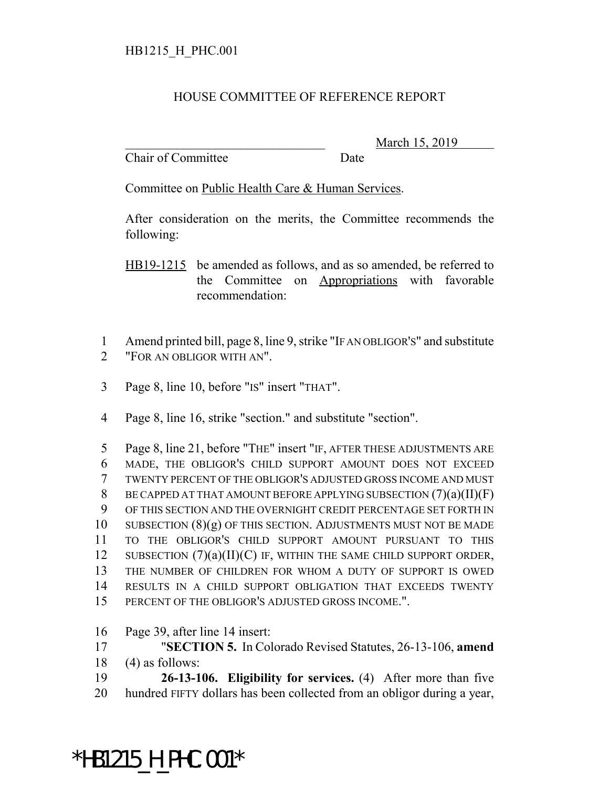## HOUSE COMMITTEE OF REFERENCE REPORT

Chair of Committee Date

March 15, 2019

Committee on Public Health Care & Human Services.

After consideration on the merits, the Committee recommends the following:

HB19-1215 be amended as follows, and as so amended, be referred to the Committee on Appropriations with favorable recommendation:

 Amend printed bill, page 8, line 9, strike "IF AN OBLIGOR'S" and substitute "FOR AN OBLIGOR WITH AN".

Page 8, line 10, before "IS" insert "THAT".

Page 8, line 16, strike "section." and substitute "section".

 Page 8, line 21, before "THE" insert "IF, AFTER THESE ADJUSTMENTS ARE MADE, THE OBLIGOR'S CHILD SUPPORT AMOUNT DOES NOT EXCEED TWENTY PERCENT OF THE OBLIGOR'S ADJUSTED GROSS INCOME AND MUST BE CAPPED AT THAT AMOUNT BEFORE APPLYING SUBSECTION (7)(a)(II)(F) OF THIS SECTION AND THE OVERNIGHT CREDIT PERCENTAGE SET FORTH IN SUBSECTION (8)(g) OF THIS SECTION. ADJUSTMENTS MUST NOT BE MADE TO THE OBLIGOR'S CHILD SUPPORT AMOUNT PURSUANT TO THIS SUBSECTION (7)(a)(II)(C) IF, WITHIN THE SAME CHILD SUPPORT ORDER, THE NUMBER OF CHILDREN FOR WHOM A DUTY OF SUPPORT IS OWED RESULTS IN A CHILD SUPPORT OBLIGATION THAT EXCEEDS TWENTY PERCENT OF THE OBLIGOR'S ADJUSTED GROSS INCOME.".

Page 39, after line 14 insert:

 "**SECTION 5.** In Colorado Revised Statutes, 26-13-106, **amend** (4) as follows:

 **26-13-106. Eligibility for services.** (4) After more than five hundred FIFTY dollars has been collected from an obligor during a year,

## \*HB1215\_H\_PHC.001\*